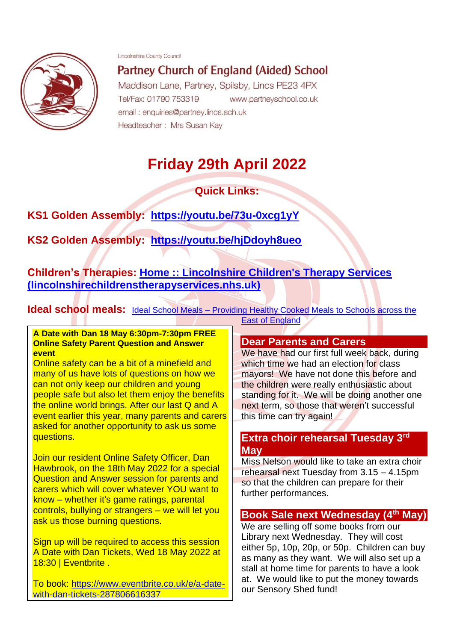Lincolnshire County Council



Partney Church of England (Aided) School

Maddison Lane, Partney, Spilsby, Lincs PE23 4PX Tel/Fax: 01790 753319 www.partneyschool.co.uk email: enquiries@partney.lincs.sch.uk Headteacher: Mrs Susan Kay

# **Friday 29th April 2022**

**Quick Links:**

**KS1 Golden Assembly: <https://youtu.be/73u-0xcg1yY>**

**KS2 Golden Assembly: <https://youtu.be/hjDdoyh8ueo>**

**Children's Therapies: [Home :: Lincolnshire Children's Therapy Services](https://www.lincolnshirechildrenstherapyservices.nhs.uk/?msclkid=be2a0f81c78b11ec8d496d114fcf4740)  [\(lincolnshirechildrenstherapyservices.nhs.uk\)](https://www.lincolnshirechildrenstherapyservices.nhs.uk/?msclkid=be2a0f81c78b11ec8d496d114fcf4740)**

**Ideal school meals:** Ideal School Meals – Providing Healthy Cooked Meals to Schools across the

#### **A Date with Dan 18 May 6:30pm-7:30pm FREE Online Safety Parent Question and Answer event**

Online safety can be a bit of a minefield and many of us have lots of questions on how we can not only keep our children and young people safe but also let them enjoy the benefits the online world brings. After our last Q and A event earlier this year, many parents and carers asked for another opportunity to ask us some questions.

Join our resident Online Safety Officer, Dan Hawbrook, on the 18th May 2022 for a special Question and Answer session for parents and carers which will cover whatever YOU want to know – whether it's game ratings, parental controls, bullying or strangers – we will let you ask us those burning questions.

Sign up will be required to access this session A Date with Dan Tickets, Wed 18 May 2022 at 18:30 | Eventbrite .

To book: [https://www.eventbrite.co.uk/e/a-date](https://www.eventbrite.co.uk/e/a-date-with-dan-tickets-287806616337)[with-dan-tickets-287806616337](https://www.eventbrite.co.uk/e/a-date-with-dan-tickets-287806616337)

[East of England](http://www.idealschoolmeals.co.uk/?ideal)

# **Dear Parents and Carers**

We have had our first full week back, during which time we had an election for class mayors! We have not done this before and the children were really enthusiastic about standing for it. We will be doing another one next term, so those that weren't successful this time can try again!

# **Extra choir rehearsal Tuesday 3rd May**

Miss Nelson would like to take an extra choir rehearsal next Tuesday from 3.15 – 4.15pm so that the children can prepare for their further performances.

# **Book Sale next Wednesday (4th May)**

We are selling off some books from our Library next Wednesday. They will cost either 5p, 10p, 20p, or 50p. Children can buy as many as they want. We will also set up a stall at home time for parents to have a look at. We would like to put the money towards our Sensory Shed fund!